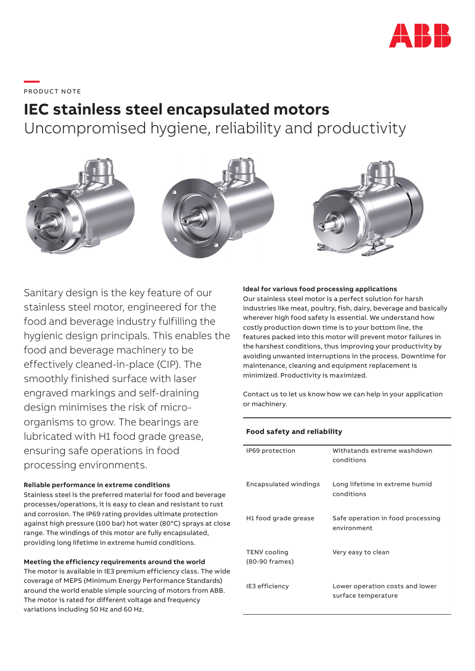

**—**  PRO DUC T NOTE

# **IEC stainless steel encapsulated motors**

Uncompromised hygiene, reliability and productivity



Sanitary design is the key feature of our stainless steel motor, engineered for the food and beverage industry fulfilling the hygienic design principals. This enables the food and beverage machinery to be effectively cleaned-in-place (CIP). The smoothly finished surface with laser engraved markings and self-draining design minimises the risk of microorganisms to grow. The bearings are lubricated with H1 food grade grease, ensuring safe operations in food processing environments.

### **Reliable performance in extreme conditions**

Stainless steel is the preferred material for food and beverage processes/operations, it is easy to clean and resistant to rust and corrosion. The IP69 rating provides ultimate protection against high pressure (100 bar) hot water (80°C) sprays at close range. The windings of this motor are fully encapsulated, providing long lifetime in extreme humid conditions.

**Meeting the efficiency requirements around the world**  The motor is available in IE3 premium efficiency class. The wide coverage of MEPS (Minimum Energy Performance Standards) around the world enable simple sourcing of motors from ABB. The motor is rated for different voltage and frequency variations including 50 Hz and 60 Hz.

#### **Ideal for various food processing applications**

Our stainless steel motor is a perfect solution for harsh industries like meat, poultry, fish, dairy, beverage and basically wherever high food safety is essential. We understand how costly production down time is to your bottom line, the features packed into this motor will prevent motor failures in the harshest conditions, thus improving your productivity by avoiding unwanted interruptions in the process. Downtime for maintenance, cleaning and equipment replacement is minimized. Productivity is maximized.

Contact us to let us know how we can help in your application or machinery.

### **Food safety and reliability**

| IP69 protection                       | Withstands extreme washdown<br>conditions              |
|---------------------------------------|--------------------------------------------------------|
| Encapsulated windings                 | Long lifetime in extreme humid<br>conditions           |
| H1 food grade grease                  | Safe operation in food processing<br>environment       |
| <b>TENV</b> cooling<br>(80-90 frames) | Very easy to clean                                     |
| IE3 efficiency                        | Lower operation costs and lower<br>surface temperature |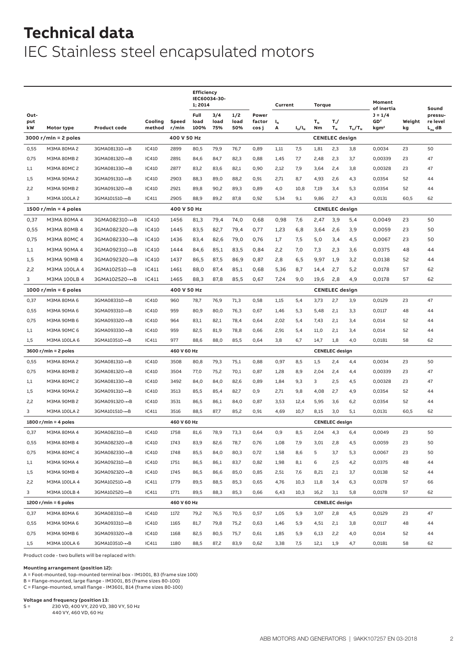# **Technical data** IEC Stainless steel encapsulated motors

|                        |                        |                |         | <b>Efficiency</b><br>IEC60034-30-<br>1; 2014 |              |             |             | Current         |         | Torque        |         |                       | Moment        |                                            |        |                               |
|------------------------|------------------------|----------------|---------|----------------------------------------------|--------------|-------------|-------------|-----------------|---------|---------------|---------|-----------------------|---------------|--------------------------------------------|--------|-------------------------------|
| Out-<br>put            |                        |                | Cooling | Speed                                        | Full<br>load | 3/4<br>load | 1/2<br>load | Power<br>factor | $I_{N}$ |               | $T_{N}$ | т,/                   |               | of inertia<br>$J = 1/4$<br>GD <sup>2</sup> | Weight | Sound<br>pressu-<br>re level  |
| kW                     | Motor type             | Product code   | method  | r/min                                        | 100%         | 75%         | 50%         | cos j           | А       | $I_{s}/I_{N}$ | Nm      | $T_{N}$               | $T_{b}/T_{N}$ | kgm <sup>2</sup>                           | kg     | $\mathsf{L}_{\mathsf{PA}}$ dB |
|                        | $3000 r/min = 2 poles$ |                |         | 400 V 50 Hz                                  |              |             |             |                 |         |               |         | <b>CENELEC</b> design |               |                                            |        |                               |
| 0,55                   | M3MA 80MA 2            | 3GMA081310-••B | IC410   | 2899                                         | 80,5         | 79,9        | 76,7        | 0,89            | 1,11    | 7,5           | 1,81    | 2,3                   | 3,8           | 0,0034                                     | 23     | 50                            |
| 0,75                   | M3MA 80MB 2            | 3GMA081320-••B | IC410   | 2891                                         | 84,6         | 84,7        | 82,3        | 0,88            | 1,45    | 7,7           | 2,48    | 2,3                   | 3,7           | 0,00339                                    | 23     | 47                            |
| 1,1                    | M3MA 80MC 2            | 3GMA081330-••B | IC410   | 2877                                         | 83,2         | 83,6        | 82,1        | 0,90            | 2,12    | 7,9           | 3,64    | 2,4                   | 3,8           | 0,00328                                    | 23     | 47                            |
| 1,5                    | M3MA 90MA 2            | 3GMA091310-••B | IC410   | 2903                                         | 88,3         | 89,0        | 88,2        | 0,91            | 2,71    | 8,7           | 4,93    | 2,6                   | 4,3           | 0,0354                                     | 52     | 44                            |
| 2,2                    | M3MA 90MB 2            | 3GMA091320-••B | IC410   | 2921                                         | 89,8         | 90,2        | 89,3        | 0,89            | 4,0     | 10,8          | 7,19    | 3,4                   | 5,3           | 0,0354                                     | 52     | 44                            |
| 3                      | M3MA 100LA 2           | 3GMA101510-••B | IC411   | 2905                                         | 88,9         | 89,2        | 87,8        | 0,92            | 5,34    | 9,1           | 9,86    | 2,7                   | 4,3           | 0,0131                                     | 60,5   | 62                            |
|                        | 1500 r/min = 4 poles   |                |         | 400 V 50 Hz                                  |              |             |             |                 |         |               |         | <b>CENELEC</b> design |               |                                            |        |                               |
| 0,37                   | M3MA 80MA 4            | 3GMA082310-••B | IC410   | 1456                                         | 81,3         | 79,4        | 74,0        | 0,68            | 0,98    | 7,6           | 2,47    | 3,9                   | 5,4           | 0,0049                                     | 23     | 50                            |
| 0,55                   | <b>M3MA 80MB 4</b>     | 3GMA082320-••B | IC410   | 1445                                         | 83,5         | 82,7        | 79,4        | 0,77            | 1,23    | 6,8           | 3,64    | 2,6                   | 3,9           | 0,0059                                     | 23     | 50                            |
| 0,75                   | <b>M3MA 80MC 4</b>     | 3GMA082330-••B | IC410   | 1436                                         | 83,4         | 82,6        | 79,0        | 0,76            | 1,7     | 7,5           | 5,0     | 3,4                   | 4,5           | 0,0067                                     | 23     | 50                            |
| 1,1                    | M3MA 90MA 4            | 3GMA092310-••B | IC410   | 1444                                         | 84,6         | 85,1        | 83,5        | 0,84            | 2,2     | 7,0           | 7,3     | 2,3                   | 3,6           | 0,0375                                     | 48     | 44                            |
| 1,5                    | <b>M3MA 90MB 4</b>     | 3GMA092320-••B | IC410   | 1437                                         | 86,5         | 87,5        | 86,9        | 0,87            | 2,8     | 6, 5          | 9,97    | 1,9                   | 3,2           | 0,0138                                     | 52     | 44                            |
| 2,2                    | M3MA 100LA 4           | 3GMA102510-••B | IC411   | 1461                                         | 88,0         | 87,4        | 85,1        | 0,68            | 5,36    | 8,7           | 14,4    | 2,7                   | 5,2           | 0,0178                                     | 57     | 62                            |
| 3                      | M3MA 100LB 4           | 3GMA102520-••B | IC411   | 1465                                         | 88,3         | 87,8        | 85,5        | 0,67            | 7,24    | 9,0           | 19,6    | 2,8                   | 4,9           | 0,0178                                     | 57     | 62                            |
|                        | 1000 r/min = 6 poles   |                |         | 400 V 50 Hz                                  |              |             |             |                 |         |               |         | <b>CENELEC</b> design |               |                                            |        |                               |
| 0,37                   | M3MA 80MA 6            | 3GMA083310-••B | IC410   | 960                                          | 78,7         | 76,9        | 71,3        | 0,58            | 1,15    | 5,4           | 3,73    | 2,7                   | 3,9           | 0,0129                                     | 23     | 47                            |
| 0,55                   | M3MA 90MA 6            | 3GMA093310-••B | IC410   | 959                                          | 80,9         | 80,0        | 76,3        | 0,67            | 1,46    | 5,3           | 5,48    | 2,1                   | 3,3           | 0,0117                                     | 48     | 44                            |
| 0,75                   | M3MA 90MB 6            | 3GMA093320-••B | IC410   | 964                                          | 83,1         | 82,1        | 78,4        | 0,64            | 2,02    | 5,4           | 7,43    | 2,1                   | 3,4           | 0,014                                      | 52     | 44                            |
| 1,1                    | M3MA 90MC 6            | 3GMA093330-••B | IC410   | 959                                          | 82,5         | 81,9        | 78,8        | 0,66            | 2,91    | 5,4           | 11,0    | 2,1                   | 3,4           | 0,014                                      | 52     | 44                            |
| 1,5                    | M3MA 100LA 6           | 3GMA103510-••B | IC411   | 977                                          | 88,6         | 88,0        | 85,5        | 0,64            | 3,8     | 6,7           | 14,7    | 1,8                   | 4,0           | 0,0181                                     | 58     | 62                            |
|                        | $3600 r/min = 2 poles$ |                |         | 460 V 60 Hz                                  |              |             |             |                 |         |               |         | <b>CENELEC</b> design |               |                                            |        |                               |
| 0,55                   | M3MA 80MA 2            | 3GMA081310-••B | IC410   | 3508                                         | 80,8         | 79,3        | 75,1        | 0,88            | 0,97    | 8,5           | 1,5     | 2,4                   | 4,4           | 0,0034                                     | 23     | 50                            |
| 0,75                   | M3MA 80MB 2            | 3GMA081320-••B | IC410   | 3504                                         | 77,0         | 75,2        | 70,1        | 0,87            | 1,28    | 8,9           | 2,04    | 2,4                   | 4,4           | 0,00339                                    | 23     | 47                            |
| 1,1                    | M3MA 80MC 2            | 3GMA081330-••B | IC410   | 3492                                         | 84,0         | 84,0        | 82,6        | 0,89            | 1,84    | 9,3           | 3       | 2,5                   | 4,5           | 0,00328                                    | 23     | 47                            |
| 1,5                    | M3MA 90MA 2            | 3GMA091310-••B | IC410   | 3513                                         | 85,5         | 85,4        | 82,7        | 0,9             | 2,71    | 9,8           | 4,08    | 2,7                   | 4,9           | 0,0354                                     | 52     | 44                            |
| 2,2                    | M3MA 90MB 2            | 3GMA091320-••B | IC410   | 3531                                         | 86,5         | 86,1        | 84,0        | 0,87            | 3,53    | 12,4          | 5,95    | 3,6                   | 6,2           | 0,0354                                     | 52     | 44                            |
| 3                      | M3MA 100LA 2           | 3GMA101510-••B | IC411   | 3516                                         | 88,5         | 87,7        | 85,2        | 0,91            | 4,69    | 10,7          | 8,15    | 3,0                   | 5,1           | 0,0131                                     | 60,5   | 62                            |
|                        | 1800 r/min = 4 poles   |                |         | 460 V 60 Hz                                  |              |             |             |                 |         |               |         | <b>CENELEC</b> design |               |                                            |        |                               |
| 0,37                   | M3MA 80MA 4            | 3GMA082310-••B | IC410   | 1758                                         | 81,6         | 78,9        | 73,3        | 0,64            | 0,9     | 8,5           | 2,04    | 4,3                   | 6,4           | 0,0049                                     | 23     | 50                            |
| 0,55                   | M3MA 80MB 4            | 3GMA082320-••B | IC410   | 1743                                         | 83,9         | 82,6        | 78,7        | 0,76            | 1,08    | 7,9           | 3,01    | 2,8                   | 4,5           | 0,0059                                     | 23     | 50                            |
| 0,75                   | M3MA 80MC 4            | 3GMA082330-••B | IC410   | 1748                                         | 85,5         | 84,0        | 80,3        | 0,72            | 1,58    | 8,6           | 5       | 3,7                   | 5,3           | 0,0067                                     | 23     | 50                            |
| 1,1                    | M3MA 90MA 4            | 3GMA092310-••B | IC410   | 1751                                         | 86,5         | 86,1        | 83,7        | 0,82            | 1,98    | 8,1           | 6       | 2,5                   | 4,2           | 0,0375                                     | 48     | 44                            |
| 1,5                    | M3MA 90MB 4            | 3GMA092320-••B | IC410   | 1745                                         | 86,5         | 86,6        | 85,0        | 0,85            | 2,51    | 7,6           | 8,21    | 2,1                   | 3,7           | 0,0138                                     | 52     | 44                            |
| 2,2                    | M3MA 100LA 4           | 3GMA102510-••B | IC411   | 1779                                         | 89,5         | 88,5        | 85,3        | 0,65            | 4,76    | 10,3          | 11,8    | 3,4                   | 6,3           | 0,0178                                     | 57     | 66                            |
| 3                      | M3MA 100LB 4           | 3GMA102520-••B | IC411   | 1771                                         | 89,5         | 88,3        | 85,3        | 0,66            | 6,43    | 10,3          | 16,2    | 3,1                   | 5,8           | 0,0178                                     | 57     | 62                            |
| 1200 $r/min = 6$ poles |                        |                |         |                                              | 460 V 60 Hz  |             |             |                 |         |               |         | <b>CENELEC</b> design |               |                                            |        |                               |
| 0,37                   | M3MA 80MA 6            | 3GMA083310-••B | IC410   | 1172                                         | 79,2         | 76,5        | 70,5        | 0,57            | 1,05    | 5,9           | 3,07    | 2,8                   | 4,5           | 0,0129                                     | 23     | 47                            |
| 0,55                   | M3MA 90MA 6            | 3GMA093310-••B | IC410   | 1165                                         | 81,7         | 79,8        | 75,2        | 0,63            | 1,46    | 5,9           | 4,51    | 2,1                   | 3,8           | 0,0117                                     | 48     | 44                            |
| 0,75                   | M3MA 90MB 6            | 3GMA093320-••B | IC410   | 1168                                         | 82,5         | 80,5        | 75,7        | 0,61            | 1,85    | 5,9           | 6,13    | 2,2                   | 4,0           | 0,014                                      | 52     | 44                            |
| 1,5                    | M3MA 100LA 6           | 3GMA103510-••B | IC411   | 1180                                         | 88,5         | 87,2        | 83,9        | 0,62            | 3,38    | 7,5           | 12,1    | 1,9                   | 4,7           | 0,0181                                     | 58     | 62                            |

Product code - two bullets will be replaced with:

**Mounting arrangement (position 12):**

A = Foot-mounted, top-mounted terminal box - IM1001, B3 (frame size 100)

B = Flange-mounted, large flange - IM3001, B5 (frame sizes 80-100) C = Flange-mounted, small flange - IM3601, B14 (frame sizes 80-100)

**Voltage and frequency (position 13:**<br>S = 230 VD, 400 VY, 220 VD, 3 230 VD, 400 VY, 220 VD, 380 VY, 50 Hz

440 VY, 460 VD, 60 Hz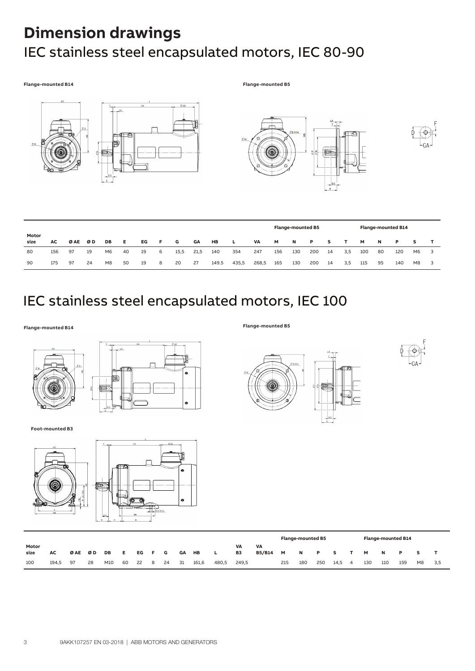# **Dimension drawings**  IEC stainless steel encapsulated motors, IEC 80-90

#### **Flange-mounted B14 Flange-mounted B5**









|               |     |     |    |                |    |    |    |      |      |       |       |       | Flange-mounted B5 |     |     |    |     |     | <b>Flange-mounted B14</b> |          |                |  |  |  |  |
|---------------|-----|-----|----|----------------|----|----|----|------|------|-------|-------|-------|-------------------|-----|-----|----|-----|-----|---------------------------|----------|----------------|--|--|--|--|
| Motor<br>size | AC. | ØAE | ØD | DB             | Е. | ЕG | F. | G    | GА   | HB    | L.    | VA    | м                 | N   | P   | s  |     | м   | N                         | <b>P</b> |                |  |  |  |  |
| 80            | 156 | 97  | 19 | M6             | 40 | 19 | 6  | 15,5 | 21,5 | 140   | 354   | 247   | 156               | 130 | 200 | 14 | 3,5 | 100 | 80                        | 120      | M6             |  |  |  |  |
| 90            | 175 | 97  | 24 | M <sub>8</sub> | 50 | 19 | -8 | 20   | 27   | 149.5 | 435,5 | 268,5 | 165               | 130 | 200 | 14 | 3,5 | 115 | 95                        | 140      | M <sub>8</sub> |  |  |  |  |

### IEC stainless steel encapsulated motors, IEC 100

**Flange-mounted B5 Flange-mounted B14**



**Foot-mounted B3**







|               |       |     |    |     |    |     |    |    |    |       |       |          |              | <b>Flange-mounted B5</b> |     |     |      |   |     | <b>Flange-mounted B14</b> |     |                |     |  |  |  |
|---------------|-------|-----|----|-----|----|-----|----|----|----|-------|-------|----------|--------------|--------------------------|-----|-----|------|---|-----|---------------------------|-----|----------------|-----|--|--|--|
| Motor<br>size | AC    | ØAE | ØD | DB  | E  | EG. |    | G  | GА | HB    |       | VA<br>B3 | VA<br>B5/B14 | M                        | N   | P   | s.   |   | M   |                           | P   |                |     |  |  |  |
| 100           | 194.5 | 97  | 28 | M10 | 60 | 22  | -8 | 24 | 31 | 161,6 | 480,5 | 249.5    |              | 215                      | 180 | 250 | 14,5 | 4 | 130 | 110                       | 159 | M <sub>8</sub> | 3.5 |  |  |  |